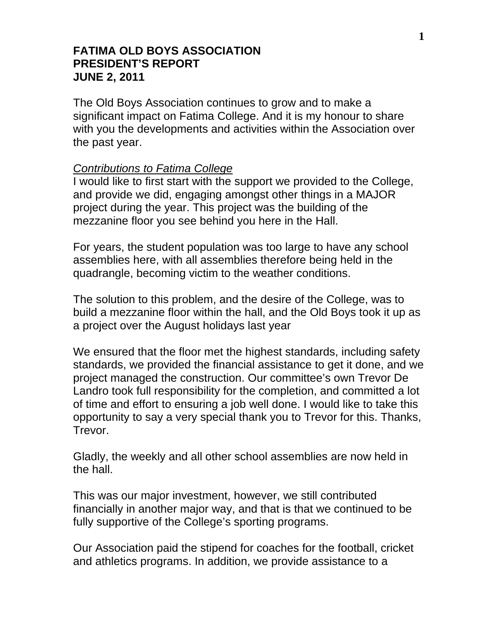### **FATIMA OLD BOYS ASSOCIATION PRESIDENT'S REPORT JUNE 2, 2011**

The Old Boys Association continues to grow and to make a significant impact on Fatima College. And it is my honour to share with you the developments and activities within the Association over the past year.

#### *Contributions to Fatima College*

I would like to first start with the support we provided to the College, and provide we did, engaging amongst other things in a MAJOR project during the year. This project was the building of the mezzanine floor you see behind you here in the Hall.

For years, the student population was too large to have any school assemblies here, with all assemblies therefore being held in the quadrangle, becoming victim to the weather conditions.

The solution to this problem, and the desire of the College, was to build a mezzanine floor within the hall, and the Old Boys took it up as a project over the August holidays last year

We ensured that the floor met the highest standards, including safety standards, we provided the financial assistance to get it done, and we project managed the construction. Our committee's own Trevor De Landro took full responsibility for the completion, and committed a lot of time and effort to ensuring a job well done. I would like to take this opportunity to say a very special thank you to Trevor for this. Thanks, Trevor.

Gladly, the weekly and all other school assemblies are now held in the hall.

This was our major investment, however, we still contributed financially in another major way, and that is that we continued to be fully supportive of the College's sporting programs.

Our Association paid the stipend for coaches for the football, cricket and athletics programs. In addition, we provide assistance to a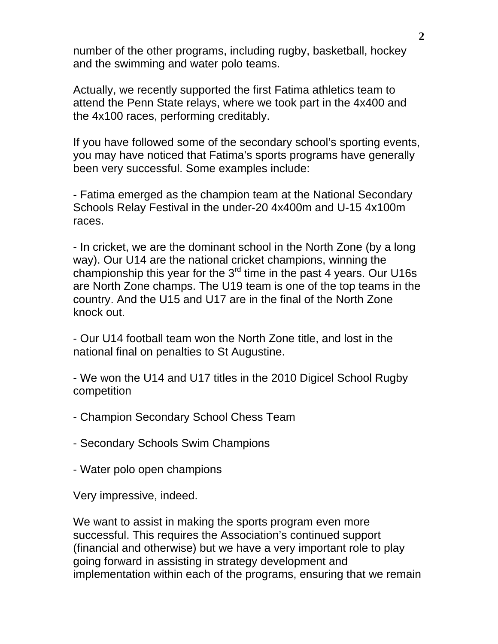number of the other programs, including rugby, basketball, hockey and the swimming and water polo teams.

Actually, we recently supported the first Fatima athletics team to attend the Penn State relays, where we took part in the 4x400 and the 4x100 races, performing creditably.

If you have followed some of the secondary school's sporting events, you may have noticed that Fatima's sports programs have generally been very successful. Some examples include:

- Fatima emerged as the champion team at the National Secondary Schools Relay Festival in the under-20 4x400m and U-15 4x100m races.

- In cricket, we are the dominant school in the North Zone (by a long way). Our U14 are the national cricket champions, winning the championship this year for the  $3<sup>rd</sup>$  time in the past 4 years. Our U16s are North Zone champs. The U19 team is one of the top teams in the country. And the U15 and U17 are in the final of the North Zone knock out.

- Our U14 football team won the North Zone title, and lost in the national final on penalties to St Augustine.

- We won the U14 and U17 titles in the 2010 Digicel School Rugby competition

- Champion Secondary School Chess Team

- Secondary Schools Swim Champions

- Water polo open champions

Very impressive, indeed.

We want to assist in making the sports program even more successful. This requires the Association's continued support (financial and otherwise) but we have a very important role to play going forward in assisting in strategy development and implementation within each of the programs, ensuring that we remain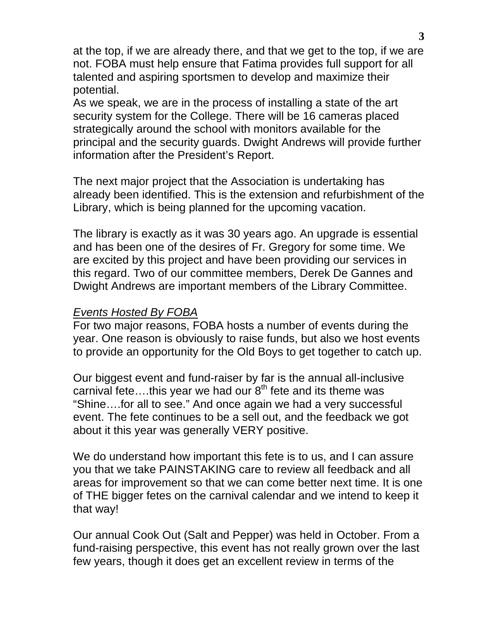at the top, if we are already there, and that we get to the top, if we are not. FOBA must help ensure that Fatima provides full support for all talented and aspiring sportsmen to develop and maximize their potential.

As we speak, we are in the process of installing a state of the art security system for the College. There will be 16 cameras placed strategically around the school with monitors available for the principal and the security guards. Dwight Andrews will provide further information after the President's Report.

The next major project that the Association is undertaking has already been identified. This is the extension and refurbishment of the Library, which is being planned for the upcoming vacation.

The library is exactly as it was 30 years ago. An upgrade is essential and has been one of the desires of Fr. Gregory for some time. We are excited by this project and have been providing our services in this regard. Two of our committee members, Derek De Gannes and Dwight Andrews are important members of the Library Committee.

# *Events Hosted By FOBA*

For two major reasons, FOBA hosts a number of events during the year. One reason is obviously to raise funds, but also we host events to provide an opportunity for the Old Boys to get together to catch up.

Our biggest event and fund-raiser by far is the annual all-inclusive carnival fete....this year we had our  $8<sup>th</sup>$  fete and its theme was "Shine….for all to see." And once again we had a very successful event. The fete continues to be a sell out, and the feedback we got about it this year was generally VERY positive.

We do understand how important this fete is to us, and I can assure you that we take PAINSTAKING care to review all feedback and all areas for improvement so that we can come better next time. It is one of THE bigger fetes on the carnival calendar and we intend to keep it that way!

Our annual Cook Out (Salt and Pepper) was held in October. From a fund-raising perspective, this event has not really grown over the last few years, though it does get an excellent review in terms of the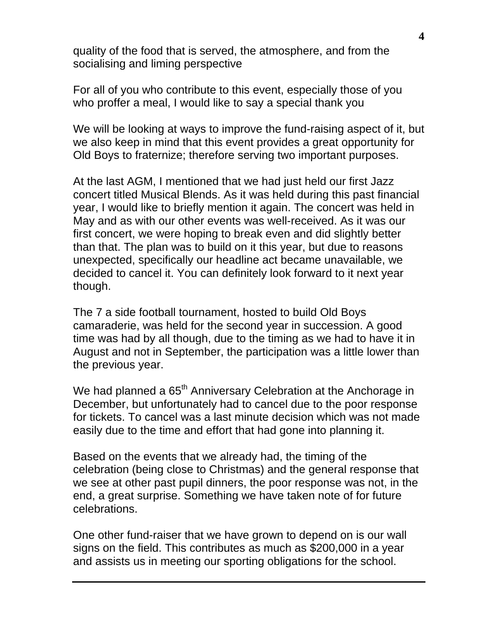quality of the food that is served, the atmosphere, and from the socialising and liming perspective

For all of you who contribute to this event, especially those of you who proffer a meal, I would like to say a special thank you

We will be looking at ways to improve the fund-raising aspect of it, but we also keep in mind that this event provides a great opportunity for Old Boys to fraternize; therefore serving two important purposes.

At the last AGM, I mentioned that we had just held our first Jazz concert titled Musical Blends. As it was held during this past financial year, I would like to briefly mention it again. The concert was held in May and as with our other events was well-received. As it was our first concert, we were hoping to break even and did slightly better than that. The plan was to build on it this year, but due to reasons unexpected, specifically our headline act became unavailable, we decided to cancel it. You can definitely look forward to it next year though.

The 7 a side football tournament, hosted to build Old Boys camaraderie, was held for the second year in succession. A good time was had by all though, due to the timing as we had to have it in August and not in September, the participation was a little lower than the previous year.

We had planned a 65<sup>th</sup> Anniversary Celebration at the Anchorage in December, but unfortunately had to cancel due to the poor response for tickets. To cancel was a last minute decision which was not made easily due to the time and effort that had gone into planning it.

Based on the events that we already had, the timing of the celebration (being close to Christmas) and the general response that we see at other past pupil dinners, the poor response was not, in the end, a great surprise. Something we have taken note of for future celebrations.

One other fund-raiser that we have grown to depend on is our wall signs on the field. This contributes as much as \$200,000 in a year and assists us in meeting our sporting obligations for the school.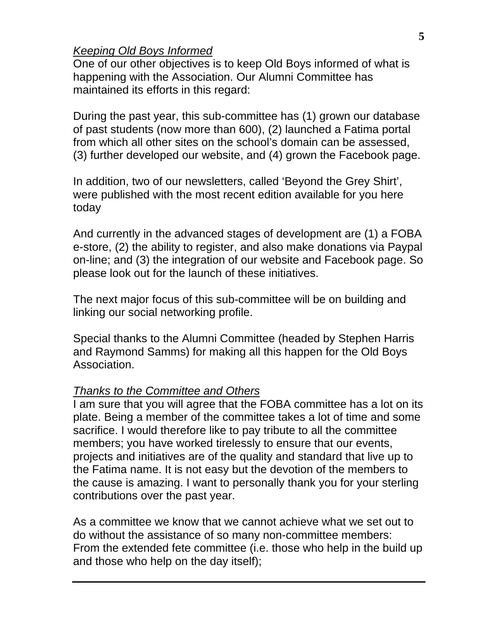# *Keeping Old Boys Informed*

One of our other objectives is to keep Old Boys informed of what is happening with the Association. Our Alumni Committee has maintained its efforts in this regard:

During the past year, this sub-committee has (1) grown our database of past students (now more than 600), (2) launched a Fatima portal from which all other sites on the school's domain can be assessed, (3) further developed our website, and (4) grown the Facebook page.

In addition, two of our newsletters, called 'Beyond the Grey Shirt', were published with the most recent edition available for you here today

And currently in the advanced stages of development are (1) a FOBA e-store, (2) the ability to register, and also make donations via Paypal on-line; and (3) the integration of our website and Facebook page. So please look out for the launch of these initiatives.

The next major focus of this sub-committee will be on building and linking our social networking profile.

Special thanks to the Alumni Committee (headed by Stephen Harris and Raymond Samms) for making all this happen for the Old Boys Association.

### *Thanks to the Committee and Others*

I am sure that you will agree that the FOBA committee has a lot on its plate. Being a member of the committee takes a lot of time and some sacrifice. I would therefore like to pay tribute to all the committee members; you have worked tirelessly to ensure that our events, projects and initiatives are of the quality and standard that live up to the Fatima name. It is not easy but the devotion of the members to the cause is amazing. I want to personally thank you for your sterling contributions over the past year.

As a committee we know that we cannot achieve what we set out to do without the assistance of so many non-committee members: From the extended fete committee (i.e. those who help in the build up and those who help on the day itself);